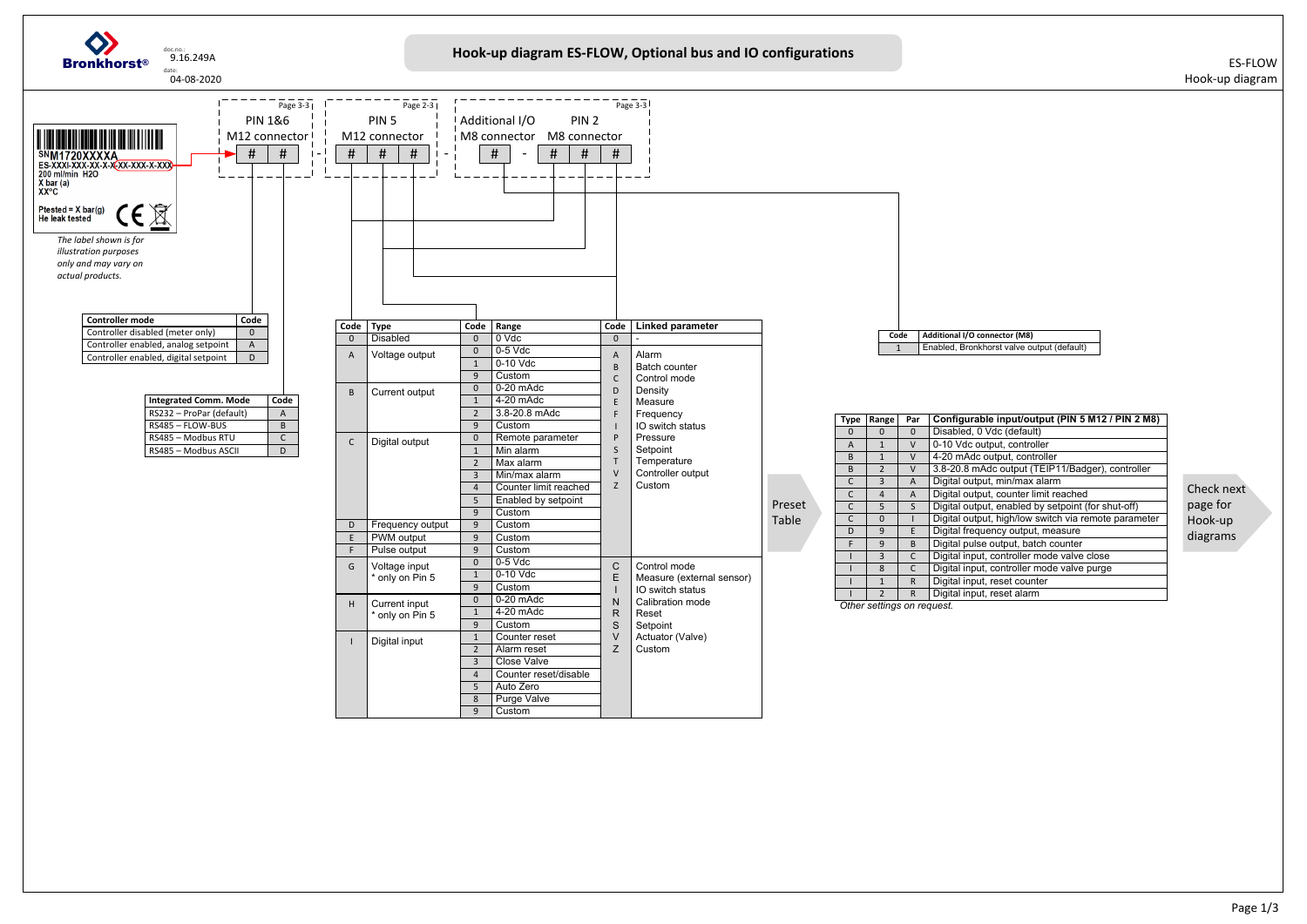

| 'ar                                 | Configurable input/output (PIN 5 M12 / PIN 2 M8)     |
|-------------------------------------|------------------------------------------------------|
| 0                                   | Disabled, 0 Vdc (default)                            |
| V                                   | 0-10 Vdc output, controller                          |
| V                                   | 4-20 mAdc output, controller                         |
| V                                   | 3.8-20.8 mAdc output (TEIP11/Badger), controller     |
| A                                   | Digital output, min/max alarm                        |
| $\frac{A}{S}$                       | Digital output, counter limit reached                |
|                                     | Digital output, enabled by setpoint (for shut-off)   |
| $\overline{1}$                      | Digital output, high/low switch via remote parameter |
| $\overline{E}$                      | Digital frequency output, measure                    |
| $\overline{B}$                      | Digital pulse output, batch counter                  |
| $\frac{\overline{c}}{\overline{c}}$ | Digital input, controller mode valve close           |
|                                     | Digital input, controller mode valve purge           |
| R                                   | Digital input, reset counter                         |
| $\overline{\mathsf{R}}$             | Digital input, reset alarm                           |
| n request.                          |                                                      |
|                                     |                                                      |

Check next page for Hook‐up diagrams

Enabled, Bronkhorst valve output (default)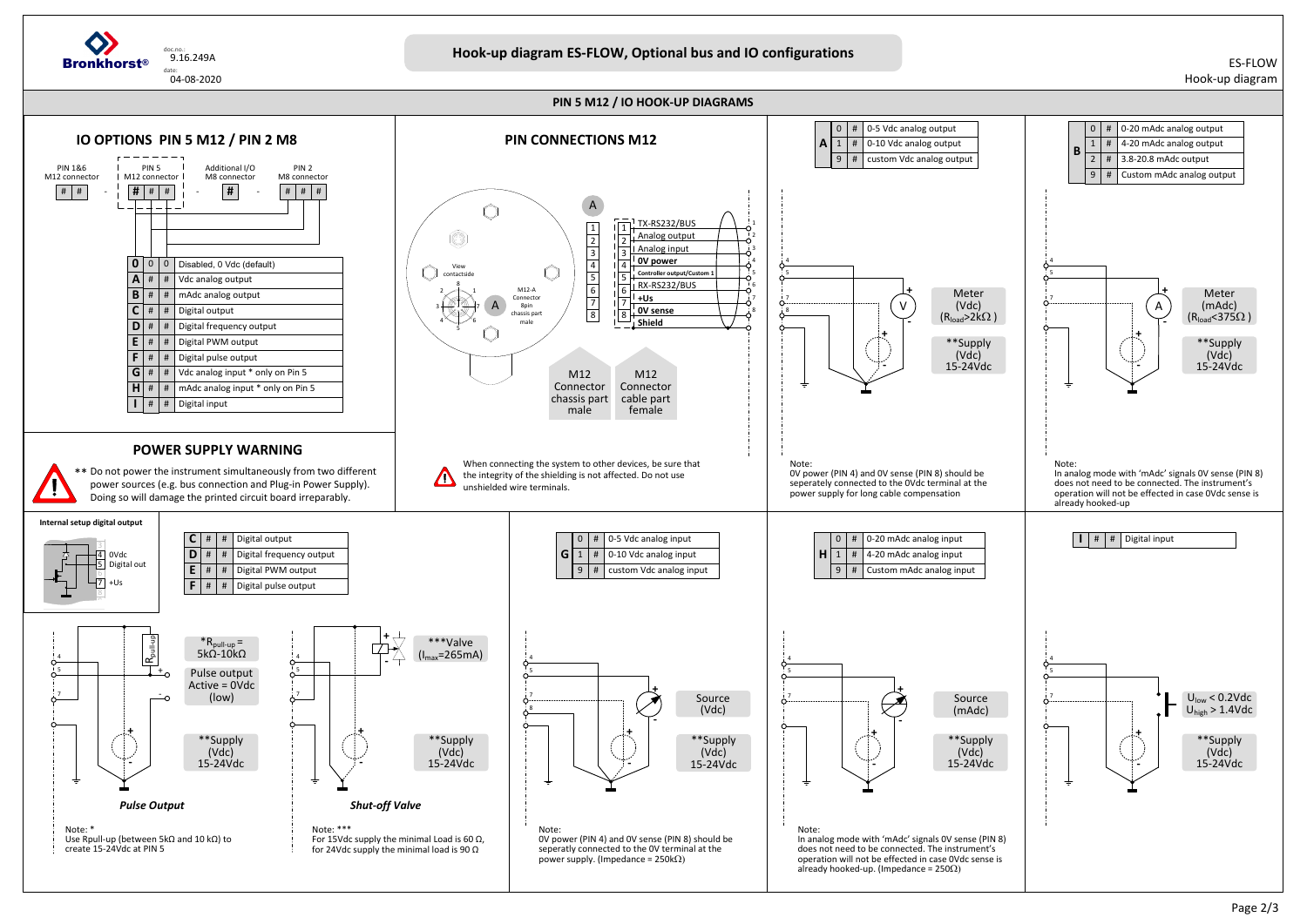## ES‐FLOWHook‐up diagram



**PIN 5 M12 / IO HOOK‐UP DIAGRAMS**